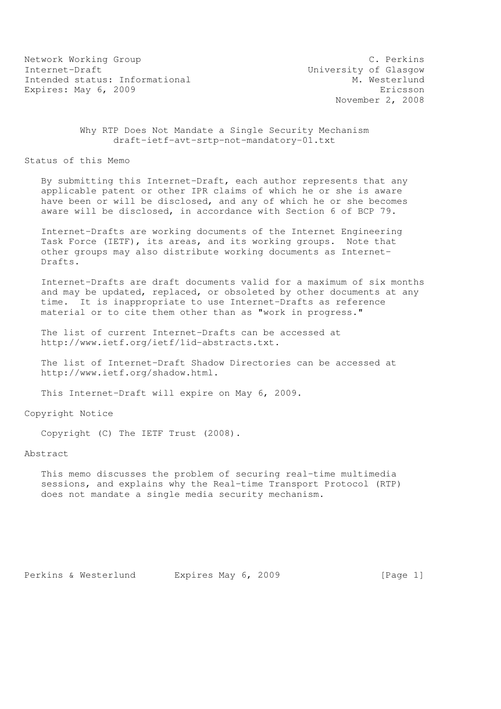Network Working Group C. Perkins Internet-Draft<br>Intended status: Informational M. Westerlund Intended status: Informational Expires: May 6, 2009 **Expires:** May 6, 2009

November 2, 2008

 Why RTP Does Not Mandate a Single Security Mechanism draft-ietf-avt-srtp-not-mandatory-01.txt

Status of this Memo

 By submitting this Internet-Draft, each author represents that any applicable patent or other IPR claims of which he or she is aware have been or will be disclosed, and any of which he or she becomes aware will be disclosed, in accordance with Section 6 of BCP 79.

 Internet-Drafts are working documents of the Internet Engineering Task Force (IETF), its areas, and its working groups. Note that other groups may also distribute working documents as Internet- Drafts.

 Internet-Drafts are draft documents valid for a maximum of six months and may be updated, replaced, or obsoleted by other documents at any time. It is inappropriate to use Internet-Drafts as reference material or to cite them other than as "work in progress."

 The list of current Internet-Drafts can be accessed at http://www.ietf.org/ietf/1id-abstracts.txt.

 The list of Internet-Draft Shadow Directories can be accessed at http://www.ietf.org/shadow.html.

This Internet-Draft will expire on May 6, 2009.

Copyright Notice

Copyright (C) The IETF Trust (2008).

Abstract

 This memo discusses the problem of securing real-time multimedia sessions, and explains why the Real-time Transport Protocol (RTP) does not mandate a single media security mechanism.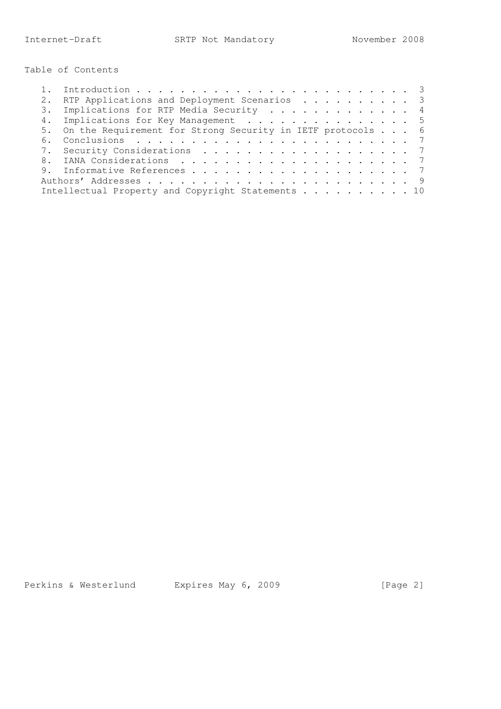Table of Contents

|  | RTP Applications and Deployment Scenarios 3                   |  |
|--|---------------------------------------------------------------|--|
|  | 3. Implications for RTP Media Security 4                      |  |
|  | 4. Implications for Key Management 5                          |  |
|  | 5. On the Requirement for Strong Security in IETF protocols 6 |  |
|  |                                                               |  |
|  | 7. Security Considerations 7                                  |  |
|  |                                                               |  |
|  |                                                               |  |
|  |                                                               |  |
|  | Intellectual Property and Copyright Statements 10             |  |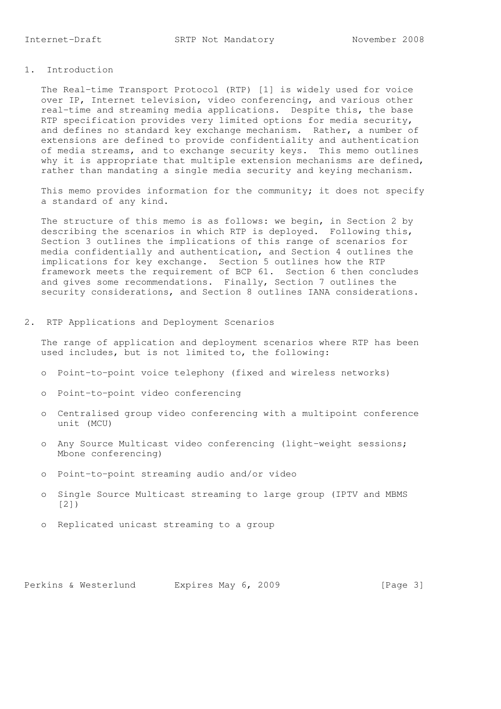# 1. Introduction

 The Real-time Transport Protocol (RTP) [1] is widely used for voice over IP, Internet television, video conferencing, and various other real-time and streaming media applications. Despite this, the base RTP specification provides very limited options for media security, and defines no standard key exchange mechanism. Rather, a number of extensions are defined to provide confidentiality and authentication of media streams, and to exchange security keys. This memo outlines why it is appropriate that multiple extension mechanisms are defined, rather than mandating a single media security and keying mechanism.

This memo provides information for the community; it does not specify a standard of any kind.

 The structure of this memo is as follows: we begin, in Section 2 by describing the scenarios in which RTP is deployed. Following this, Section 3 outlines the implications of this range of scenarios for media confidentially and authentication, and Section 4 outlines the implications for key exchange. Section 5 outlines how the RTP framework meets the requirement of BCP 61. Section 6 then concludes and gives some recommendations. Finally, Section 7 outlines the security considerations, and Section 8 outlines IANA considerations.

2. RTP Applications and Deployment Scenarios

 The range of application and deployment scenarios where RTP has been used includes, but is not limited to, the following:

- o Point-to-point voice telephony (fixed and wireless networks)
- o Point-to-point video conferencing
- o Centralised group video conferencing with a multipoint conference unit (MCU)
- o Any Source Multicast video conferencing (light-weight sessions; Mbone conferencing)
- o Point-to-point streaming audio and/or video
- o Single Source Multicast streaming to large group (IPTV and MBMS [2])
- o Replicated unicast streaming to a group

Perkins & Westerlund Expires May 6, 2009 [Page 3]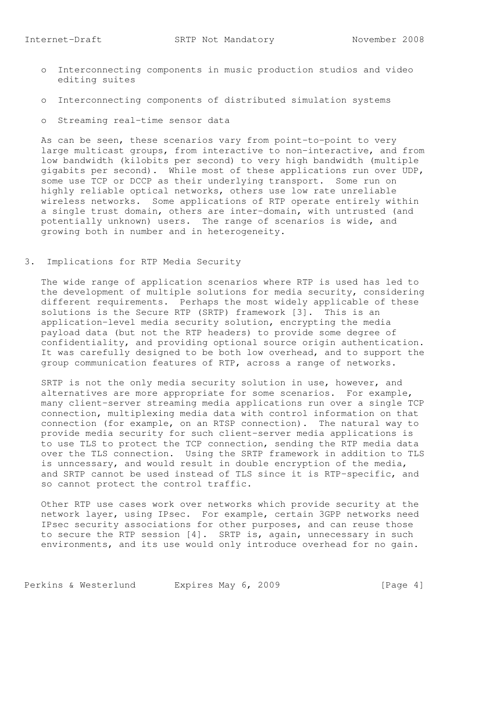- o Interconnecting components in music production studios and video editing suites
- o Interconnecting components of distributed simulation systems
- o Streaming real-time sensor data

 As can be seen, these scenarios vary from point-to-point to very large multicast groups, from interactive to non-interactive, and from low bandwidth (kilobits per second) to very high bandwidth (multiple gigabits per second). While most of these applications run over UDP, some use TCP or DCCP as their underlying transport. Some run on highly reliable optical networks, others use low rate unreliable wireless networks. Some applications of RTP operate entirely within a single trust domain, others are inter-domain, with untrusted (and potentially unknown) users. The range of scenarios is wide, and growing both in number and in heterogeneity.

# 3. Implications for RTP Media Security

 The wide range of application scenarios where RTP is used has led to the development of multiple solutions for media security, considering different requirements. Perhaps the most widely applicable of these solutions is the Secure RTP (SRTP) framework [3]. This is an application-level media security solution, encrypting the media payload data (but not the RTP headers) to provide some degree of confidentiality, and providing optional source origin authentication. It was carefully designed to be both low overhead, and to support the group communication features of RTP, across a range of networks.

 SRTP is not the only media security solution in use, however, and alternatives are more appropriate for some scenarios. For example, many client-server streaming media applications run over a single TCP connection, multiplexing media data with control information on that connection (for example, on an RTSP connection). The natural way to provide media security for such client-server media applications is to use TLS to protect the TCP connection, sending the RTP media data over the TLS connection. Using the SRTP framework in addition to TLS is unncessary, and would result in double encryption of the media, and SRTP cannot be used instead of TLS since it is RTP-specific, and so cannot protect the control traffic.

 Other RTP use cases work over networks which provide security at the network layer, using IPsec. For example, certain 3GPP networks need IPsec security associations for other purposes, and can reuse those to secure the RTP session [4]. SRTP is, again, unnecessary in such environments, and its use would only introduce overhead for no gain.

Perkins & Westerlund Expires May 6, 2009 [Page 4]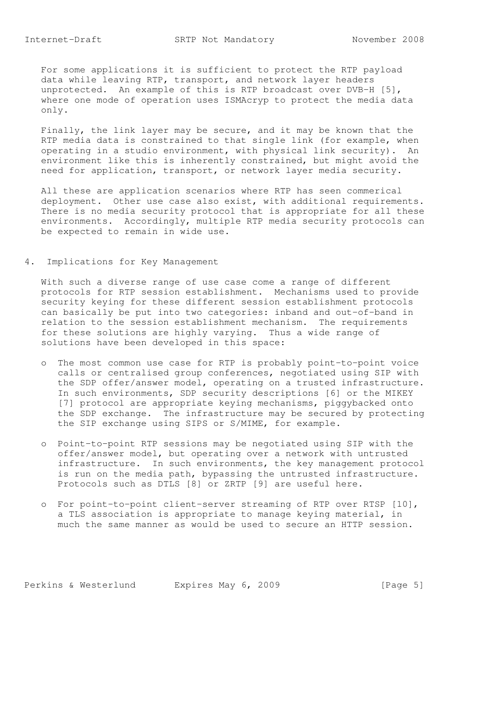For some applications it is sufficient to protect the RTP payload data while leaving RTP, transport, and network layer headers unprotected. An example of this is RTP broadcast over DVB-H [5], where one mode of operation uses ISMAcryp to protect the media data only.

 Finally, the link layer may be secure, and it may be known that the RTP media data is constrained to that single link (for example, when operating in a studio environment, with physical link security). An environment like this is inherently constrained, but might avoid the need for application, transport, or network layer media security.

 All these are application scenarios where RTP has seen commerical deployment. Other use case also exist, with additional requirements. There is no media security protocol that is appropriate for all these environments. Accordingly, multiple RTP media security protocols can be expected to remain in wide use.

# 4. Implications for Key Management

 With such a diverse range of use case come a range of different protocols for RTP session establishment. Mechanisms used to provide security keying for these different session establishment protocols can basically be put into two categories: inband and out-of-band in relation to the session establishment mechanism. The requirements for these solutions are highly varying. Thus a wide range of solutions have been developed in this space:

- o The most common use case for RTP is probably point-to-point voice calls or centralised group conferences, negotiated using SIP with the SDP offer/answer model, operating on a trusted infrastructure. In such environments, SDP security descriptions [6] or the MIKEY [7] protocol are appropriate keying mechanisms, piggybacked onto the SDP exchange. The infrastructure may be secured by protecting the SIP exchange using SIPS or S/MIME, for example.
- o Point-to-point RTP sessions may be negotiated using SIP with the offer/answer model, but operating over a network with untrusted infrastructure. In such environments, the key management protocol is run on the media path, bypassing the untrusted infrastructure. Protocols such as DTLS [8] or ZRTP [9] are useful here.
- o For point-to-point client-server streaming of RTP over RTSP [10], a TLS association is appropriate to manage keying material, in much the same manner as would be used to secure an HTTP session.

Perkins & Westerlund Expires May 6, 2009 [Page 5]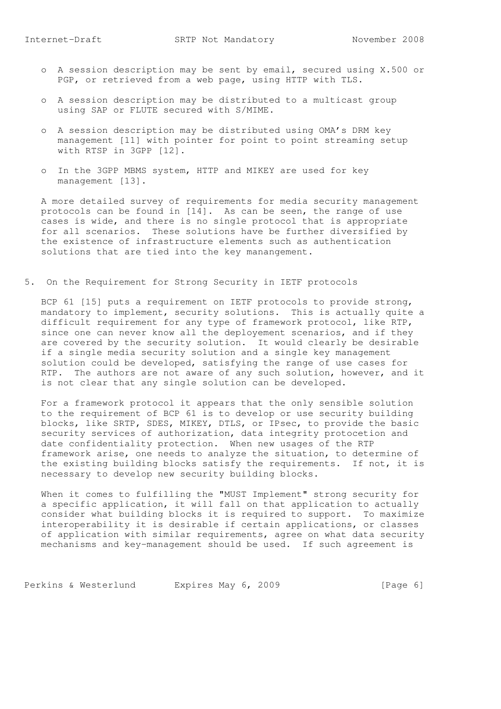- o A session description may be sent by email, secured using X.500 or PGP, or retrieved from a web page, using HTTP with TLS.
- o A session description may be distributed to a multicast group using SAP or FLUTE secured with S/MIME.
- o A session description may be distributed using OMA's DRM key management [11] with pointer for point to point streaming setup with RTSP in 3GPP [12].
- o In the 3GPP MBMS system, HTTP and MIKEY are used for key management [13].

 A more detailed survey of requirements for media security management protocols can be found in [14]. As can be seen, the range of use cases is wide, and there is no single protocol that is appropriate for all scenarios. These solutions have be further diversified by the existence of infrastructure elements such as authentication solutions that are tied into the key manangement.

5. On the Requirement for Strong Security in IETF protocols

BCP 61 [15] puts a requirement on IETF protocols to provide strong, mandatory to implement, security solutions. This is actually quite a difficult requirement for any type of framework protocol, like RTP, since one can never know all the deployement scenarios, and if they are covered by the security solution. It would clearly be desirable if a single media security solution and a single key management solution could be developed, satisfying the range of use cases for RTP. The authors are not aware of any such solution, however, and it is not clear that any single solution can be developed.

 For a framework protocol it appears that the only sensible solution to the requirement of BCP 61 is to develop or use security building blocks, like SRTP, SDES, MIKEY, DTLS, or IPsec, to provide the basic security services of authorization, data integrity protocetion and date confidentiality protection. When new usages of the RTP framework arise, one needs to analyze the situation, to determine of the existing building blocks satisfy the requirements. If not, it is necessary to develop new security building blocks.

 When it comes to fulfilling the "MUST Implement" strong security for a specific application, it will fall on that application to actually consider what building blocks it is required to support. To maximize interoperability it is desirable if certain applications, or classes of application with similar requirements, agree on what data security mechanisms and key-management should be used. If such agreement is

Perkins & Westerlund Expires May 6, 2009 [Page 6]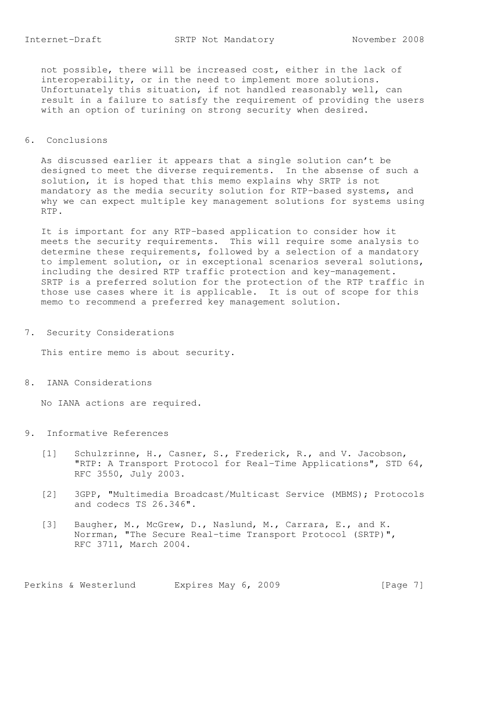not possible, there will be increased cost, either in the lack of interoperability, or in the need to implement more solutions. Unfortunately this situation, if not handled reasonably well, can result in a failure to satisfy the requirement of providing the users with an option of turining on strong security when desired.

#### 6. Conclusions

 As discussed earlier it appears that a single solution can't be designed to meet the diverse requirements. In the absense of such a solution, it is hoped that this memo explains why SRTP is not mandatory as the media security solution for RTP-based systems, and why we can expect multiple key management solutions for systems using RTP.

 It is important for any RTP-based application to consider how it meets the security requirements. This will require some analysis to determine these requirements, followed by a selection of a mandatory to implement solution, or in exceptional scenarios several solutions, including the desired RTP traffic protection and key-management. SRTP is a preferred solution for the protection of the RTP traffic in those use cases where it is applicable. It is out of scope for this memo to recommend a preferred key management solution.

7. Security Considerations

This entire memo is about security.

8. IANA Considerations

No IANA actions are required.

- 9. Informative References
	- [1] Schulzrinne, H., Casner, S., Frederick, R., and V. Jacobson, "RTP: A Transport Protocol for Real-Time Applications", STD 64, RFC 3550, July 2003.
	- [2] 3GPP, "Multimedia Broadcast/Multicast Service (MBMS); Protocols and codecs TS 26.346".
	- [3] Baugher, M., McGrew, D., Naslund, M., Carrara, E., and K. Norrman, "The Secure Real-time Transport Protocol (SRTP)", RFC 3711, March 2004.

Perkins & Westerlund Expires May 6, 2009 [Page 7]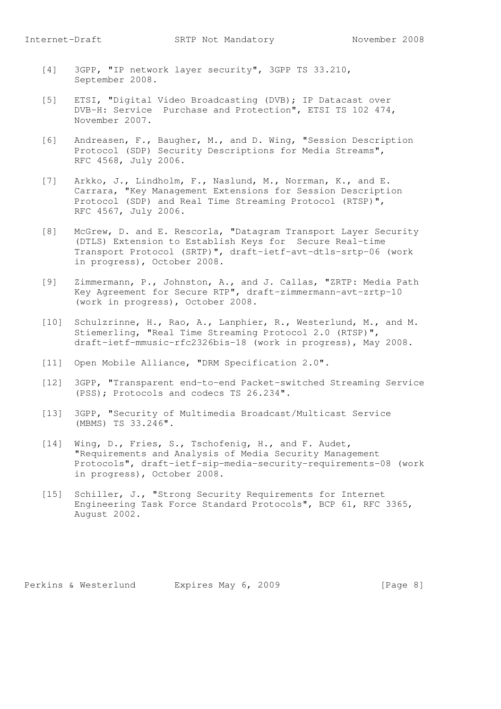- [4] 3GPP, "IP network layer security", 3GPP TS 33.210, September 2008.
- [5] ETSI, "Digital Video Broadcasting (DVB); IP Datacast over DVB-H: Service Purchase and Protection", ETSI TS 102 474, November 2007.
- [6] Andreasen, F., Baugher, M., and D. Wing, "Session Description Protocol (SDP) Security Descriptions for Media Streams", RFC 4568, July 2006.
- [7] Arkko, J., Lindholm, F., Naslund, M., Norrman, K., and E. Carrara, "Key Management Extensions for Session Description Protocol (SDP) and Real Time Streaming Protocol (RTSP)", RFC 4567, July 2006.
- [8] McGrew, D. and E. Rescorla, "Datagram Transport Layer Security (DTLS) Extension to Establish Keys for Secure Real-time Transport Protocol (SRTP)", draft-ietf-avt-dtls-srtp-06 (work in progress), October 2008.
- [9] Zimmermann, P., Johnston, A., and J. Callas, "ZRTP: Media Path Key Agreement for Secure RTP", draft-zimmermann-avt-zrtp-10 (work in progress), October 2008.
- [10] Schulzrinne, H., Rao, A., Lanphier, R., Westerlund, M., and M. Stiemerling, "Real Time Streaming Protocol 2.0 (RTSP)", draft-ietf-mmusic-rfc2326bis-18 (work in progress), May 2008.
- [11] Open Mobile Alliance, "DRM Specification 2.0".
- [12] 3GPP, "Transparent end-to-end Packet-switched Streaming Service (PSS); Protocols and codecs TS 26.234".
- [13] 3GPP, "Security of Multimedia Broadcast/Multicast Service (MBMS) TS 33.246".
- [14] Wing, D., Fries, S., Tschofenig, H., and F. Audet, "Requirements and Analysis of Media Security Management Protocols", draft-ietf-sip-media-security-requirements-08 (work in progress), October 2008.
- [15] Schiller, J., "Strong Security Requirements for Internet Engineering Task Force Standard Protocols", BCP 61, RFC 3365, August 2002.

Perkins & Westerlund Expires May 6, 2009 [Page 8]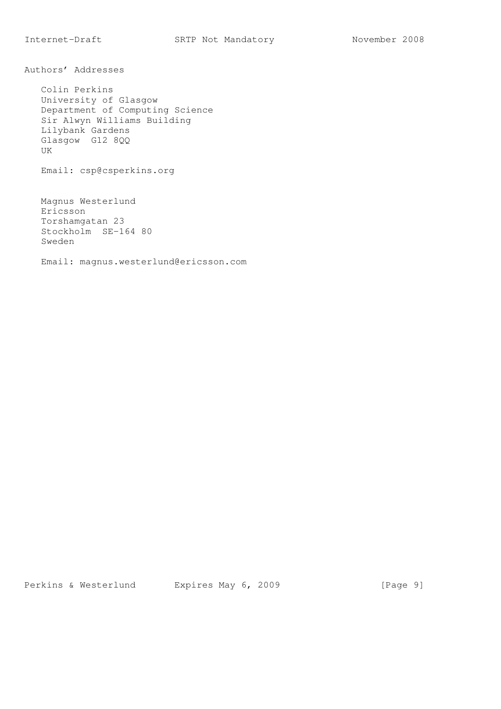Authors' Addresses

 Colin Perkins University of Glasgow Department of Computing Science Sir Alwyn Williams Building Lilybank Gardens Glasgow G12 8QQ UK Email: csp@csperkins.org Magnus Westerlund

 Ericsson Torshamgatan 23 Stockholm SE-164 80 Sweden

Email: magnus.westerlund@ericsson.com